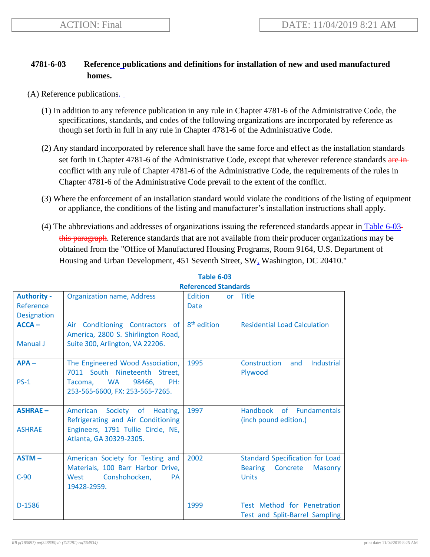## **4781-6-03 Reference publications and definitions for installation of new and used manufactured homes.**

- (A) Reference publications.
	- (1) In addition to any reference publication in any rule in Chapter 4781-6 of the Administrative Code, the specifications, standards, and codes of the following organizations are incorporated by reference as though set forth in full in any rule in Chapter 4781-6 of the Administrative Code.
	- (2) Any standard incorporated by reference shall have the same force and effect as the installation standards set forth in Chapter 4781-6 of the Administrative Code, except that wherever reference standards are inconflict with any rule of Chapter 4781-6 of the Administrative Code, the requirements of the rules in Chapter 4781-6 of the Administrative Code prevail to the extent of the conflict.
	- (3) Where the enforcement of an installation standard would violate the conditions of the listing of equipment or appliance, the conditions of the listing and manufacturer's installation instructions shall apply.
	- (4) The abbreviations and addresses of organizations issuing the referenced standards appear in Table 6-03 this paragraph. Reference standards that are not available from their producer organizations may be obtained from the "Office of Manufactured Housing Programs, Room 9164, U.S. Department of Housing and Urban Development, 451 Seventh Street, SW, Washington, DC 20410."

| <b>Authority -</b> | <b>Organization name, Address</b>     | Edition<br><b>or</b>    | <b>Title</b>                                 |
|--------------------|---------------------------------------|-------------------------|----------------------------------------------|
| Reference          |                                       | <b>Date</b>             |                                              |
| <b>Designation</b> |                                       |                         |                                              |
| $ACCA -$           | Air Conditioning Contractors of       | 8 <sup>th</sup> edition | <b>Residential Load Calculation</b>          |
|                    | America, 2800 S. Shirlington Road,    |                         |                                              |
| Manual J           | Suite 300, Arlington, VA 22206.       |                         |                                              |
| $APA -$            | The Engineered Wood Association,      | 1995                    | Construction<br>and<br>Industrial            |
|                    | 7011 South Nineteenth Street,         |                         | Plywood                                      |
| $PS-1$             | <b>WA</b><br>98466,<br>PH:<br>Tacoma. |                         |                                              |
|                    | 253-565-6600, FX: 253-565-7265.       |                         |                                              |
|                    |                                       |                         |                                              |
| <b>ASHRAE-</b>     | American Society of Heating,          | 1997                    | Handbook of Fundamentals                     |
|                    | Refrigerating and Air Conditioning    |                         | (inch pound edition.)                        |
| <b>ASHRAE</b>      | Engineers, 1791 Tullie Circle, NE,    |                         |                                              |
|                    | Atlanta, GA 30329-2305.               |                         |                                              |
|                    |                                       |                         |                                              |
| <b>ASTM-</b>       | American Society for Testing and      | 2002                    | <b>Standard Specification for Load</b>       |
|                    | Materials, 100 Barr Harbor Drive,     |                         | <b>Bearing</b><br>Concrete<br><b>Masonry</b> |
| $C-90$             | West<br>Conshohocken,<br><b>PA</b>    |                         | <b>Units</b>                                 |
|                    | 19428-2959.                           |                         |                                              |
|                    |                                       |                         |                                              |
| D-1586             |                                       | 1999                    | Test Method for Penetration                  |
|                    |                                       |                         | Test and Split-Barrel Sampling               |

## **Table 6-03 Referenced Standards**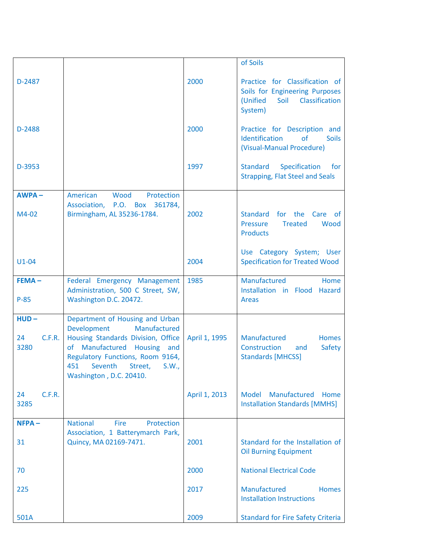|                                 |                                                                                                                                                                                                                                                    |               | of Soils                                                                                                          |
|---------------------------------|----------------------------------------------------------------------------------------------------------------------------------------------------------------------------------------------------------------------------------------------------|---------------|-------------------------------------------------------------------------------------------------------------------|
| D-2487                          |                                                                                                                                                                                                                                                    | 2000          | Practice for Classification of<br>Soils for Engineering Purposes<br>(Unified<br>Soil<br>Classification<br>System) |
| D-2488                          |                                                                                                                                                                                                                                                    | 2000          | Practice for Description and<br>Identification<br>of<br><b>Soils</b><br>(Visual-Manual Procedure)                 |
| D-3953                          |                                                                                                                                                                                                                                                    | 1997          | <b>Standard</b><br>Specification<br>for<br><b>Strapping, Flat Steel and Seals</b>                                 |
| $AWPA -$<br>M4-02               | Wood<br>Protection<br>American<br>Association, P.O.<br>Box 361784,<br>Birmingham, AL 35236-1784.                                                                                                                                                   | 2002          | Standard for the<br>Care<br>ot.<br><b>Treated</b><br>Pressure<br>Wood<br><b>Products</b>                          |
| $U1-04$                         |                                                                                                                                                                                                                                                    | 2004          | Use Category System; User<br><b>Specification for Treated Wood</b>                                                |
| $FEMA -$<br>$P-85$              | Federal Emergency Management<br>Administration, 500 C Street, SW,<br>Washington D.C. 20472.                                                                                                                                                        | 1985          | Manufactured<br>Home<br>Installation in Flood Hazard<br>Areas                                                     |
| $HUD -$<br>C.F.R.<br>24<br>3280 | Department of Housing and Urban<br><b>Development</b><br>Manufactured<br>Housing Standards Division, Office<br>of Manufactured Housing<br>and<br>Regulatory Functions, Room 9164,<br>451<br>Seventh<br>Street,<br>S.W.,<br>Washington, D.C. 20410. | April 1, 1995 | Manufactured<br><b>Homes</b><br>Construction<br>Safety<br>and<br><b>Standards [MHCSS]</b>                         |
| C.F.R.<br>24<br>3285            |                                                                                                                                                                                                                                                    | April 1, 2013 | Manufactured<br>Home<br>Model<br><b>Installation Standards [MMHS]</b>                                             |
| $NFPA -$                        | <b>National</b><br>Fire<br>Protection                                                                                                                                                                                                              |               |                                                                                                                   |
| 31                              | Association, 1 Batterymarch Park,<br>Quincy, MA 02169-7471.                                                                                                                                                                                        | 2001          | Standard for the Installation of<br><b>Oil Burning Equipment</b>                                                  |
| 70                              |                                                                                                                                                                                                                                                    | 2000          | <b>National Electrical Code</b>                                                                                   |
| 225                             |                                                                                                                                                                                                                                                    | 2017          | Manufactured<br>Homes<br><b>Installation Instructions</b>                                                         |
| 501A                            |                                                                                                                                                                                                                                                    | 2009          | <b>Standard for Fire Safety Criteria</b>                                                                          |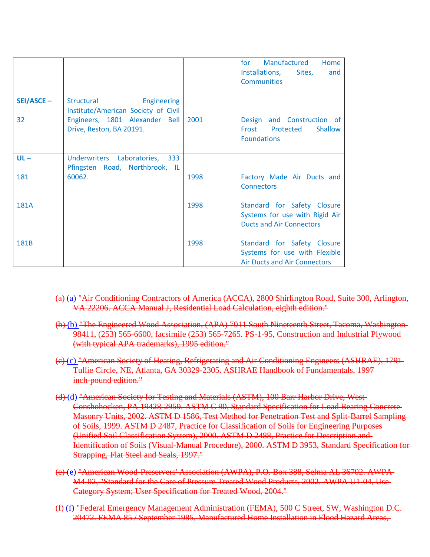|             |                                                                         |      | for<br>Manufactured<br>Home<br>Installations,<br>Sites,<br>and<br><b>Communities</b>                |
|-------------|-------------------------------------------------------------------------|------|-----------------------------------------------------------------------------------------------------|
| SEI/ASCE-   | <b>Engineering</b><br>Structural<br>Institute/American Society of Civil |      |                                                                                                     |
| 32          | Engineers, 1801 Alexander Bell<br>Drive, Reston, BA 20191.              | 2001 | Design and Construction of<br>Frost<br>Shallow<br>Protected<br><b>Foundations</b>                   |
| $UL -$      | Underwriters Laboratories, 333<br>Pfingsten Road, Northbrook, IL        |      |                                                                                                     |
| 181         | 60062.                                                                  | 1998 | Factory Made Air Ducts and<br><b>Connectors</b>                                                     |
| <b>181A</b> |                                                                         | 1998 | Standard for Safety Closure<br>Systems for use with Rigid Air<br><b>Ducts and Air Connectors</b>    |
| 181B        |                                                                         | 1998 | Standard for Safety Closure<br>Systems for use with Flexible<br><b>Air Ducts and Air Connectors</b> |

- (a) (a) "Air Conditioning Contractors of America (ACCA), 2800 Shirlington Road, Suite 300, Arlington, VA 22206. ACCA Manual J, Residential Load Calculation, eighth edition."
- (b) (b) "The Engineered Wood Association, (APA) 7011 South Nineteenth Street, Tacoma, Washington 98411, (253) 565-6600, facsimile (253) 565-7265. PS-1-95, Construction and Industrial Plywood (with typical APA trademarks), 1995 edition."
- (c) (c) "American Society of Heating, Refrigerating and Air Conditioning Engineers (ASHRAE), 1791 Tullie Circle, NE, Atlanta, GA 30329-2305. ASHRAE Handbook of Fundamentals, 1997 inch-pound edition."
- (d) (d) "American Society for Testing and Materials (ASTM), 100 Barr Harbor Drive, West Conshohocken, PA 19428-2959. ASTM C 90, Standard Specification for Load Bearing Concrete Masonry Units, 2002. ASTM D 1586, Test Method for Penetration Test and Split-Barrel Sampling of Soils, 1999. ASTM D 2487, Practice for Classification of Soils for Engineering Purposes (Unified Soil Classification System), 2000. ASTM D 2488, Practice for Description and Identification of Soils (Visual-Manual Procedure), 2000. ASTM D 3953, Standard Specification for Strapping, Flat Steel and Seals, 1997."
- (e) (e) "American Wood-Preservers' Association (AWPA), P.O. Box 388, Selma AL 36702. AWPA M4-02, "Standard for the Care of Pressure Treated Wood Products, 2002. AWPA U1-04, Use Category System; User Specification for Treated Wood, 2004."
- (f) (f) "Federal Emergency Management Administration (FEMA), 500 C Street, SW, Washington D.C. 20472. FEMA 85 / September 1985, Manufactured Home Installation in Flood Hazard Areas,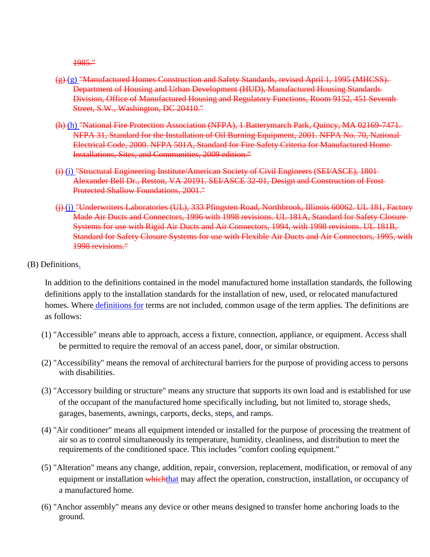1985."

- (g) (g) "Manufactured Homes Construction and Safety Standards, revised April 1, 1995 (MHCSS). Department of Housing and Urban Development (HUD), Manufactured Housing Standards Division, Office of Manufactured Housing and Regulatory Functions, Room 9152, 451 Seventh Street, S.W., Washington, DC 20410."
- (h) (h) "National Fire Protection Association (NFPA), 1 Batterymarch Park, Quincy, MA 02169-7471. NFPA 31, Standard for the Installation of Oil Burning Equipment, 2001. NFPA No. 70, National Electrical Code, 2000. NFPA 501A, Standard for Fire Safety Criteria for Manufactured Home Installations, Sites, and Communities, 2009 edition."
- (i) (i) "Structural Engineering Institute/American Society of Civil Engineers (SEI/ASCE), 1801 Alexander Bell Dr., Reston, VA 20191. SEI/ASCE 32-01, Design and Construction of Frost Protected Shallow Foundations, 2001."
- (j) (j) "Underwriters Laboratories (UL), 333 Pfingsten Road, Northbrook, Illinois 60062. UL 181, Factory Made Air Ducts and Connectors, 1996 with 1998 revisions. UL 181A, Standard for Safety Closure Systems for use with Rigid Air Ducts and Air Connectors, 1994, with 1998 revisions. UL 181B, Standard for Safety Closure Systems for use with Flexible Air Ducts and Air Connectors, 1995, with 1998 revisions."
- (B) Definitions.

In addition to the definitions contained in the model manufactured home installation standards, the following definitions apply to the installation standards for the installation of new, used, or relocated manufactured homes. Where definitions for terms are not included, common usage of the term applies. The definitions are as follows:

- (1) "Accessible" means able to approach, access a fixture, connection, appliance, or equipment. Access shall be permitted to require the removal of an access panel, door, or similar obstruction.
- (2) "Accessibility" means the removal of architectural barriers for the purpose of providing access to persons with disabilities.
- (3) "Accessory building or structure" means any structure that supports its own load and is established for use of the occupant of the manufactured home specifically including, but not limited to, storage sheds, garages, basements, awnings, carports, decks, steps, and ramps.
- (4) "Air conditioner" means all equipment intended or installed for the purpose of processing the treatment of air so as to control simultaneously its temperature, humidity, cleanliness, and distribution to meet the requirements of the conditioned space. This includes "comfort cooling equipment."
- (5) "Alteration" means any change, addition, repair, conversion, replacement, modification, or removal of any equipment or installation which that may affect the operation, construction, installation, or occupancy of a manufactured home.
- (6) "Anchor assembly" means any device or other means designed to transfer home anchoring loads to the ground.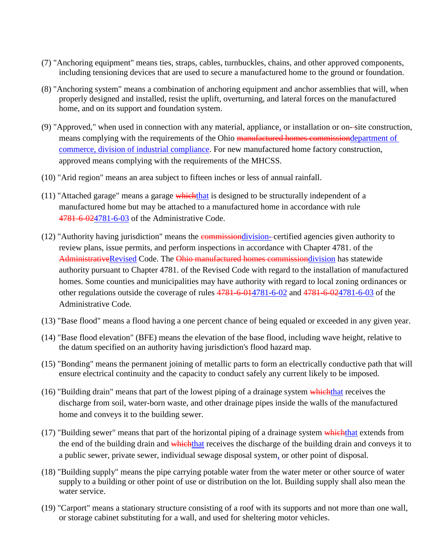- (7) "Anchoring equipment" means ties, straps, cables, turnbuckles, chains, and other approved components, including tensioning devices that are used to secure a manufactured home to the ground or foundation.
- (8) "Anchoring system" means a combination of anchoring equipment and anchor assemblies that will, when properly designed and installed, resist the uplift, overturning, and lateral forces on the manufactured home, and on its support and foundation system.
- (9) "Approved," when used in connection with any material, appliance, or installation or on- site construction, means complying with the requirements of the Ohio manufactured homes commissiondepartment of commerce, division of industrial compliance. For new manufactured home factory construction, approved means complying with the requirements of the MHCSS.
- (10) "Arid region" means an area subject to fifteen inches or less of annual rainfall.
- (11) "Attached garage" means a garage which that is designed to be structurally independent of a manufactured home but may be attached to a manufactured home in accordance with rule 4781-6-024781-6-03 of the Administrative Code.
- (12) "Authority having jurisdiction" means the commissiondivision- certified agencies given authority to review plans, issue permits, and perform inspections in accordance with Chapter 4781. of the AdministrativeRevised Code. The Ohio manufactured homes commissiondivision has statewide authority pursuant to Chapter 4781. of the Revised Code with regard to the installation of manufactured homes. Some counties and municipalities may have authority with regard to local zoning ordinances or other regulations outside the coverage of rules 4781-6-014781-6-02 and 4781-6-024781-6-03 of the Administrative Code.
- (13) "Base flood" means a flood having a one percent chance of being equaled or exceeded in any given year.
- (14) "Base flood elevation" (BFE) means the elevation of the base flood, including wave height, relative to the datum specified on an authority having jurisdiction's flood hazard map.
- (15) "Bonding" means the permanent joining of metallic parts to form an electrically conductive path that will ensure electrical continuity and the capacity to conduct safely any current likely to be imposed.
- (16) "Building drain" means that part of the lowest piping of a drainage system which that receives the discharge from soil, water-born waste, and other drainage pipes inside the walls of the manufactured home and conveys it to the building sewer.
- $(17)$  "Building sewer" means that part of the horizontal piping of a drainage system which that extends from the end of the building drain and whichthat receives the discharge of the building drain and conveys it to a public sewer, private sewer, individual sewage disposal system, or other point of disposal.
- (18) "Building supply" means the pipe carrying potable water from the water meter or other source of water supply to a building or other point of use or distribution on the lot. Building supply shall also mean the water service.
- (19) "Carport" means a stationary structure consisting of a roof with its supports and not more than one wall, or storage cabinet substituting for a wall, and used for sheltering motor vehicles.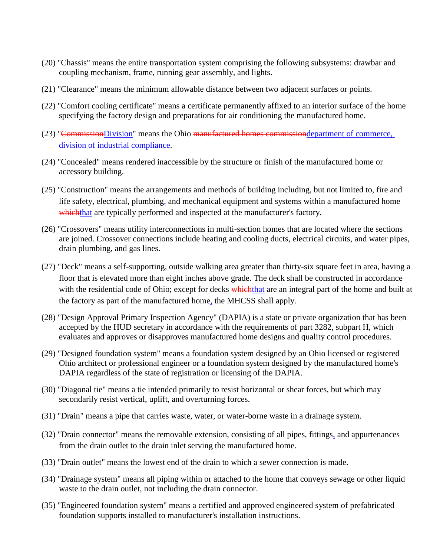- (20) "Chassis" means the entire transportation system comprising the following subsystems: drawbar and coupling mechanism, frame, running gear assembly, and lights.
- (21) "Clearance" means the minimum allowable distance between two adjacent surfaces or points.
- (22) "Comfort cooling certificate" means a certificate permanently affixed to an interior surface of the home specifying the factory design and preparations for air conditioning the manufactured home.
- (23) "CommissionDivision" means the Ohio manufactured homes commissiondepartment of commerce, division of industrial compliance.
- (24) "Concealed" means rendered inaccessible by the structure or finish of the manufactured home or accessory building.
- (25) "Construction" means the arrangements and methods of building including, but not limited to, fire and life safety, electrical, plumbing, and mechanical equipment and systems within a manufactured home which that are typically performed and inspected at the manufacturer's factory.
- (26) "Crossovers" means utility interconnections in multi-section homes that are located where the sections are joined. Crossover connections include heating and cooling ducts, electrical circuits, and water pipes, drain plumbing, and gas lines.
- (27) "Deck" means a self-supporting, outside walking area greater than thirty-six square feet in area, having a floor that is elevated more than eight inches above grade. The deck shall be constructed in accordance with the residential code of Ohio; except for decks which that are an integral part of the home and built at the factory as part of the manufactured home, the MHCSS shall apply.
- (28) "Design Approval Primary Inspection Agency" (DAPIA) is a state or private organization that has been accepted by the HUD secretary in accordance with the requirements of part 3282, subpart H, which evaluates and approves or disapproves manufactured home designs and quality control procedures.
- (29) "Designed foundation system" means a foundation system designed by an Ohio licensed or registered Ohio architect or professional engineer or a foundation system designed by the manufactured home's DAPIA regardless of the state of registration or licensing of the DAPIA.
- (30) "Diagonal tie" means a tie intended primarily to resist horizontal or shear forces, but which may secondarily resist vertical, uplift, and overturning forces.
- (31) "Drain" means a pipe that carries waste, water, or water-borne waste in a drainage system.
- (32) "Drain connector" means the removable extension, consisting of all pipes, fittings, and appurtenances from the drain outlet to the drain inlet serving the manufactured home.
- (33) "Drain outlet" means the lowest end of the drain to which a sewer connection is made.
- (34) "Drainage system" means all piping within or attached to the home that conveys sewage or other liquid waste to the drain outlet, not including the drain connector.
- (35) "Engineered foundation system" means a certified and approved engineered system of prefabricated foundation supports installed to manufacturer's installation instructions.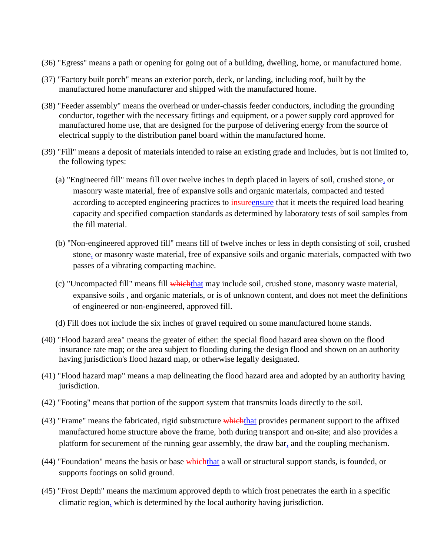- (36) "Egress" means a path or opening for going out of a building, dwelling, home, or manufactured home.
- (37) "Factory built porch" means an exterior porch, deck, or landing, including roof, built by the manufactured home manufacturer and shipped with the manufactured home.
- (38) "Feeder assembly" means the overhead or under-chassis feeder conductors, including the grounding conductor, together with the necessary fittings and equipment, or a power supply cord approved for manufactured home use, that are designed for the purpose of delivering energy from the source of electrical supply to the distribution panel board within the manufactured home.
- (39) "Fill" means a deposit of materials intended to raise an existing grade and includes, but is not limited to, the following types:
	- (a) "Engineered fill" means fill over twelve inches in depth placed in layers of soil, crushed stone, or masonry waste material, free of expansive soils and organic materials, compacted and tested according to accepted engineering practices to insureensure that it meets the required load bearing capacity and specified compaction standards as determined by laboratory tests of soil samples from the fill material.
	- (b) "Non-engineered approved fill" means fill of twelve inches or less in depth consisting of soil, crushed stone, or masonry waste material, free of expansive soils and organic materials, compacted with two passes of a vibrating compacting machine.
	- (c) "Uncompacted fill" means fill whichthat may include soil, crushed stone, masonry waste material, expansive soils , and organic materials, or is of unknown content, and does not meet the definitions of engineered or non-engineered, approved fill.
	- (d) Fill does not include the six inches of gravel required on some manufactured home stands.
- (40) "Flood hazard area" means the greater of either: the special flood hazard area shown on the flood insurance rate map; or the area subject to flooding during the design flood and shown on an authority having jurisdiction's flood hazard map, or otherwise legally designated.
- (41) "Flood hazard map" means a map delineating the flood hazard area and adopted by an authority having jurisdiction.
- (42) "Footing" means that portion of the support system that transmits loads directly to the soil.
- (43) "Frame" means the fabricated, rigid substructure whichthat provides permanent support to the affixed manufactured home structure above the frame, both during transport and on-site; and also provides a platform for securement of the running gear assembly, the draw bar, and the coupling mechanism.
- (44) "Foundation" means the basis or base whichthat a wall or structural support stands, is founded, or supports footings on solid ground.
- (45) "Frost Depth" means the maximum approved depth to which frost penetrates the earth in a specific climatic region, which is determined by the local authority having jurisdiction.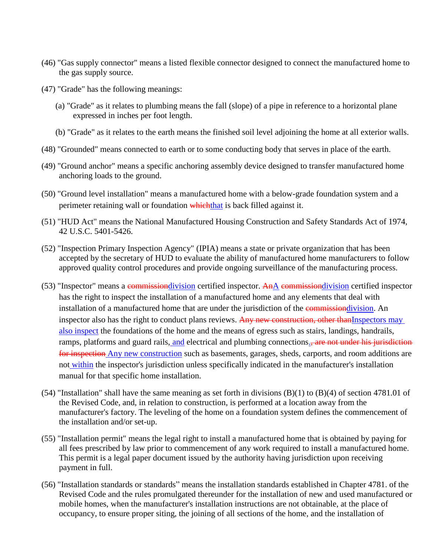- (46) "Gas supply connector" means a listed flexible connector designed to connect the manufactured home to the gas supply source.
- (47) "Grade" has the following meanings:
	- (a) "Grade" as it relates to plumbing means the fall (slope) of a pipe in reference to a horizontal plane expressed in inches per foot length.
	- (b) "Grade" as it relates to the earth means the finished soil level adjoining the home at all exterior walls.
- (48) "Grounded" means connected to earth or to some conducting body that serves in place of the earth.
- (49) "Ground anchor" means a specific anchoring assembly device designed to transfer manufactured home anchoring loads to the ground.
- (50) "Ground level installation" means a manufactured home with a below-grade foundation system and a perimeter retaining wall or foundation which that is back filled against it.
- (51) "HUD Act" means the National Manufactured Housing Construction and Safety Standards Act of 1974, 42 U.S.C. 5401-5426.
- (52) "Inspection Primary Inspection Agency" (IPIA) means a state or private organization that has been accepted by the secretary of HUD to evaluate the ability of manufactured home manufacturers to follow approved quality control procedures and provide ongoing surveillance of the manufacturing process.
- (53) "Inspector" means a commissiondivision certified inspector. AnA commissiondivision certified inspector has the right to inspect the installation of a manufactured home and any elements that deal with installation of a manufactured home that are under the jurisdiction of the commissiondivision. An inspector also has the right to conduct plans reviews. Any new construction, other thanInspectors may also inspect the foundations of the home and the means of egress such as stairs, landings, handrails, ramps, platforms and guard rails, and electrical and plumbing connections. are not under his jurisdictionfor inspection Any new construction such as basements, garages, sheds, carports, and room additions are not within the inspector's jurisdiction unless specifically indicated in the manufacturer's installation manual for that specific home installation.
- (54) "Installation" shall have the same meaning as set forth in divisions  $(B)(1)$  to  $(B)(4)$  of section 4781.01 of the Revised Code, and, in relation to construction, is performed at a location away from the manufacturer's factory. The leveling of the home on a foundation system defines the commencement of the installation and/or set-up.
- (55) "Installation permit" means the legal right to install a manufactured home that is obtained by paying for all fees prescribed by law prior to commencement of any work required to install a manufactured home. This permit is a legal paper document issued by the authority having jurisdiction upon receiving payment in full.
- (56) "Installation standards or standards" means the installation standards established in Chapter 4781. of the Revised Code and the rules promulgated thereunder for the installation of new and used manufactured or mobile homes, when the manufacturer's installation instructions are not obtainable, at the place of occupancy, to ensure proper siting, the joining of all sections of the home, and the installation of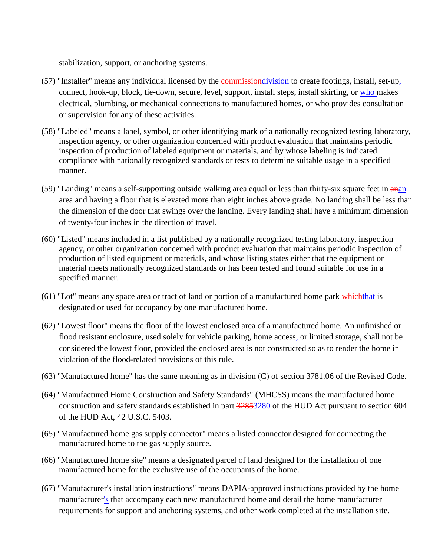stabilization, support, or anchoring systems.

- (57) "Installer" means any individual licensed by the commission division to create footings, install, set-up, connect, hook-up, block, tie-down, secure, level, support, install steps, install skirting, or who makes electrical, plumbing, or mechanical connections to manufactured homes, or who provides consultation or supervision for any of these activities.
- (58) "Labeled" means a label, symbol, or other identifying mark of a nationally recognized testing laboratory, inspection agency, or other organization concerned with product evaluation that maintains periodic inspection of production of labeled equipment or materials, and by whose labeling is indicated compliance with nationally recognized standards or tests to determine suitable usage in a specified manner.
- (59) "Landing" means a self-supporting outside walking area equal or less than thirty-six square feet in  $\frac{1}{2}$ area and having a floor that is elevated more than eight inches above grade. No landing shall be less than the dimension of the door that swings over the landing. Every landing shall have a minimum dimension of twenty-four inches in the direction of travel.
- (60) "Listed" means included in a list published by a nationally recognized testing laboratory, inspection agency, or other organization concerned with product evaluation that maintains periodic inspection of production of listed equipment or materials, and whose listing states either that the equipment or material meets nationally recognized standards or has been tested and found suitable for use in a specified manner.
- $(61)$  "Lot" means any space area or tract of land or portion of a manufactured home park which that is designated or used for occupancy by one manufactured home.
- (62) "Lowest floor" means the floor of the lowest enclosed area of a manufactured home. An unfinished or flood resistant enclosure, used solely for vehicle parking, home access, or limited storage, shall not be considered the lowest floor, provided the enclosed area is not constructed so as to render the home in violation of the flood-related provisions of this rule.
- (63) "Manufactured home" has the same meaning as in division (C) of section 3781.06 of the Revised Code.
- (64) "Manufactured Home Construction and Safety Standards" (MHCSS) means the manufactured home construction and safety standards established in part 32853280 of the HUD Act pursuant to section 604 of the HUD Act, 42 U.S.C. 5403.
- (65) "Manufactured home gas supply connector" means a listed connector designed for connecting the manufactured home to the gas supply source.
- (66) "Manufactured home site" means a designated parcel of land designed for the installation of one manufactured home for the exclusive use of the occupants of the home.
- (67) "Manufacturer's installation instructions" means DAPIA-approved instructions provided by the home manufacturer's that accompany each new manufactured home and detail the home manufacturer requirements for support and anchoring systems, and other work completed at the installation site.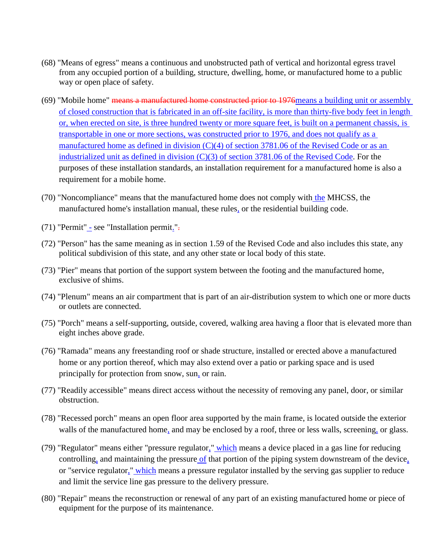- (68) "Means of egress" means a continuous and unobstructed path of vertical and horizontal egress travel from any occupied portion of a building, structure, dwelling, home, or manufactured home to a public way or open place of safety.
- (69) "Mobile home" means a manufactured home constructed prior to 1976means a building unit or assembly of closed construction that is fabricated in an off-site facility, is more than thirty-five body feet in length or, when erected on site, is three hundred twenty or more square feet, is built on a permanent chassis, is transportable in one or more sections, was constructed prior to 1976, and does not qualify as a manufactured home as defined in division (C)(4) of section 3781.06 of the Revised Code or as an industrialized unit as defined in division (C)(3) of section 3781.06 of the Revised Code. For the purposes of these installation standards, an installation requirement for a manufactured home is also a requirement for a mobile home.
- (70) "Noncompliance" means that the manufactured home does not comply with the MHCSS, the manufactured home's installation manual, these rules, or the residential building code.
- $(71)$  "Permit" see "Installation permit.".
- (72) "Person" has the same meaning as in section 1.59 of the Revised Code and also includes this state, any political subdivision of this state, and any other state or local body of this state.
- (73) "Pier" means that portion of the support system between the footing and the manufactured home, exclusive of shims.
- (74) "Plenum" means an air compartment that is part of an air-distribution system to which one or more ducts or outlets are connected.
- (75) "Porch" means a self-supporting, outside, covered, walking area having a floor that is elevated more than eight inches above grade.
- (76) "Ramada" means any freestanding roof or shade structure, installed or erected above a manufactured home or any portion thereof, which may also extend over a patio or parking space and is used principally for protection from snow, sun, or rain.
- (77) "Readily accessible" means direct access without the necessity of removing any panel, door, or similar obstruction.
- (78) "Recessed porch" means an open floor area supported by the main frame, is located outside the exterior walls of the manufactured home, and may be enclosed by a roof, three or less walls, screening, or glass.
- (79) "Regulator" means either "pressure regulator," which means a device placed in a gas line for reducing controlling, and maintaining the pressure of that portion of the piping system downstream of the device, or "service regulator," which means a pressure regulator installed by the serving gas supplier to reduce and limit the service line gas pressure to the delivery pressure.
- (80) "Repair" means the reconstruction or renewal of any part of an existing manufactured home or piece of equipment for the purpose of its maintenance.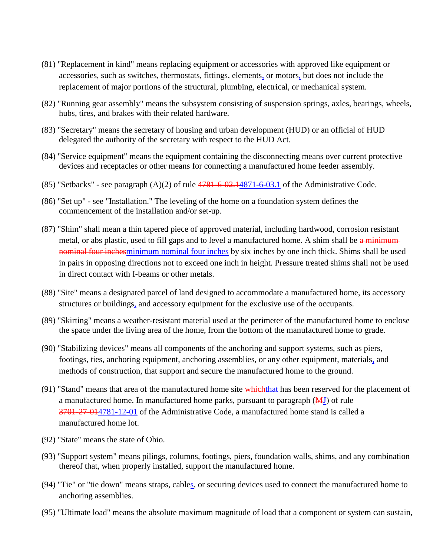- (81) "Replacement in kind" means replacing equipment or accessories with approved like equipment or accessories, such as switches, thermostats, fittings, elements, or motors, but does not include the replacement of major portions of the structural, plumbing, electrical, or mechanical system.
- (82) "Running gear assembly" means the subsystem consisting of suspension springs, axles, bearings, wheels, hubs, tires, and brakes with their related hardware.
- (83) "Secretary" means the secretary of housing and urban development (HUD) or an official of HUD delegated the authority of the secretary with respect to the HUD Act.
- (84) "Service equipment" means the equipment containing the disconnecting means over current protective devices and receptacles or other means for connecting a manufactured home feeder assembly.
- (85) "Setbacks" see paragraph  $(A)(2)$  of rule  $4781-6-02.14871-6-03.1$  of the Administrative Code.
- (86) "Set up" see "Installation." The leveling of the home on a foundation system defines the commencement of the installation and/or set-up.
- (87) "Shim" shall mean a thin tapered piece of approved material, including hardwood, corrosion resistant metal, or abs plastic, used to fill gaps and to level a manufactured home. A shim shall be a minimumnominal four inchesminimum nominal four inches by six inches by one inch thick. Shims shall be used in pairs in opposing directions not to exceed one inch in height. Pressure treated shims shall not be used in direct contact with I-beams or other metals.
- (88) "Site" means a designated parcel of land designed to accommodate a manufactured home, its accessory structures or buildings, and accessory equipment for the exclusive use of the occupants.
- (89) "Skirting" means a weather-resistant material used at the perimeter of the manufactured home to enclose the space under the living area of the home, from the bottom of the manufactured home to grade.
- (90) "Stabilizing devices" means all components of the anchoring and support systems, such as piers, footings, ties, anchoring equipment, anchoring assemblies, or any other equipment, materials, and methods of construction, that support and secure the manufactured home to the ground.
- (91) "Stand" means that area of the manufactured home site whichthat has been reserved for the placement of a manufactured home. In manufactured home parks, pursuant to paragraph (MH) of rule 3701-27-014781-12-01 of the Administrative Code, a manufactured home stand is called a manufactured home lot.
- (92) "State" means the state of Ohio.
- (93) "Support system" means pilings, columns, footings, piers, foundation walls, shims, and any combination thereof that, when properly installed, support the manufactured home.
- (94) "Tie" or "tie down" means straps, cables, or securing devices used to connect the manufactured home to anchoring assemblies.
- (95) "Ultimate load" means the absolute maximum magnitude of load that a component or system can sustain,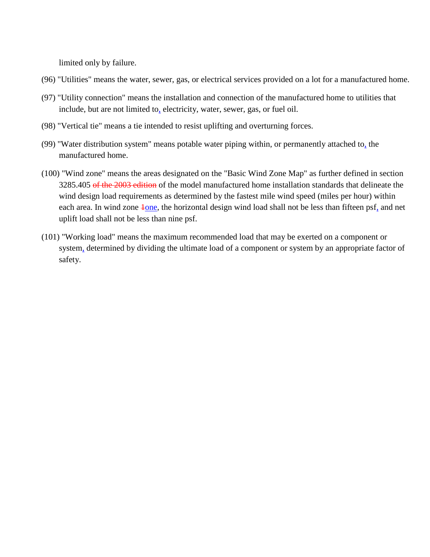limited only by failure.

- (96) "Utilities" means the water, sewer, gas, or electrical services provided on a lot for a manufactured home.
- (97) "Utility connection" means the installation and connection of the manufactured home to utilities that include, but are not limited to, electricity, water, sewer, gas, or fuel oil.
- (98) "Vertical tie" means a tie intended to resist uplifting and overturning forces.
- (99) "Water distribution system" means potable water piping within, or permanently attached to, the manufactured home.
- (100) "Wind zone" means the areas designated on the "Basic Wind Zone Map" as further defined in section 3285.405 of the 2003 edition of the model manufactured home installation standards that delineate the wind design load requirements as determined by the fastest mile wind speed (miles per hour) within each area. In wind zone  $\frac{1}{2}$  one, the horizontal design wind load shall not be less than fifteen psf, and net uplift load shall not be less than nine psf.
- (101) "Working load" means the maximum recommended load that may be exerted on a component or system, determined by dividing the ultimate load of a component or system by an appropriate factor of safety.